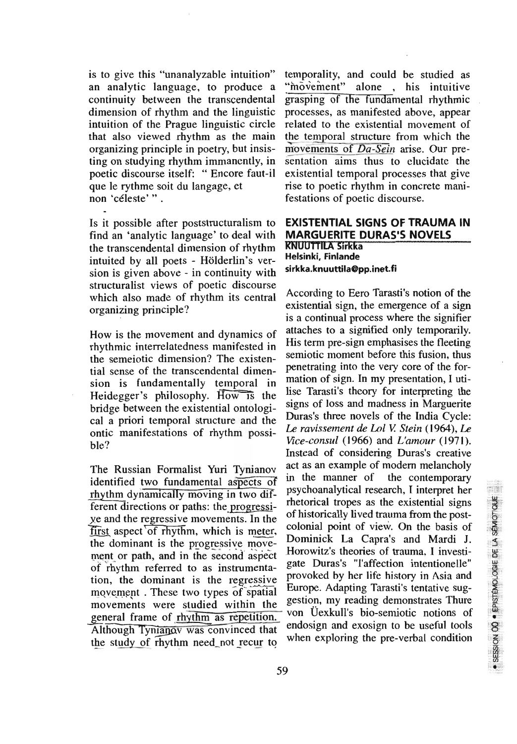is to give this "unanalyzable intuition" an analytic language, to produce a continuity between the transcendental dimension of rhythm and the linguistic intuition of the Prague linguistic circle that also viewed rhythm as the main organizing principle in poetry, but insisting on studying rhythm immanently, in poetic discourse itself: "Encore faut-il que le rythme soit du langage, et non 'céleste'".

Is it possible after poststructuralism to find an 'analytic language' to deal with the transcendental dimension of rhythm intuited by all poets - Hölderlin's version is given above - in continuity with structuralist views of poetic discourse which also made of rhythm its central organizing principle?

How is the movement and dynamics of rhythmic interrelatedness manifested in the semejotic dimension? The existential sense of the transcendental dimension is fundamentally temporal in Heidegger's philosophy. How is the bridge between the existential ontological a priori temporal structure and the ontic manifestations of rhythm possi $hle?$ 

The Russian Formalist Yuri Tynianov identified two fundamental aspects of rhythm dynamically moving in two different directions or paths: the progressiye and the regressive movements. In the first aspect of rhythm, which is meter, the dominant is the progressive movement or path, and in the second aspect of rhythm referred to as instrumentation, the dominant is the regressive movement. These two types of spatial movements were studied within the general frame of rhythm as repetition. Although Tynianov was convinced that the study of rhythm need not recur to

temporality, and could be studied as "movement" alone . his intuitive grasping of the fundamental rhythmic processes, as manifested above, appear related to the existential movement of the temporal structure from which the movements of Da-Sein arise. Our presentation aims thus to elucidate the existential temporal processes that give rise to poetic rhythm in concrete manifestations of poetic discourse.

## **EXISTENTIAL SIGNS OF TRAUMA IN MARGUERITE DURAS'S NOVELS KNUUTTILA Sirkka** Helsinki, Finlande sirkka.knuuttila@pp.inet.fi

According to Eero Tarasti's notion of the existential sign, the emergence of a sign is a continual process where the signifier attaches to a signified only temporarily. His term pre-sign emphasises the fleeting semiotic moment before this fusion, thus penetrating into the very core of the formation of sign. In my presentation, I utilise Tarasti's theory for interpreting the signs of loss and madness in Marguerite Duras's three novels of the India Cycle: Le ravissement de Lol V. Stein (1964), Le Vice-consul (1966) and L'amour (1971). Instead of considering Duras's creative act as an example of modern melancholy in the manner of the contemporary psychoanalytical research. I interpret her rhetorical tropes as the existential signs of historically lived trauma from the postcolonial point of view. On the basis of Dominick La Capra's and Mardi J. Horowitz's theories of trauma. I investigate Duras's "l'affection intentionelle" provoked by her life history in Asia and Europe. Adapting Tarasti's tentative suggestion, my reading demonstrates Thure von Üexkull's bio-semiotic notions of endosign and exosign to be useful tools when exploring the pre-verbal condition

n i

· SESSION 00 · EPISTEMOLOGIE DE LA SÉMIOTIQUE